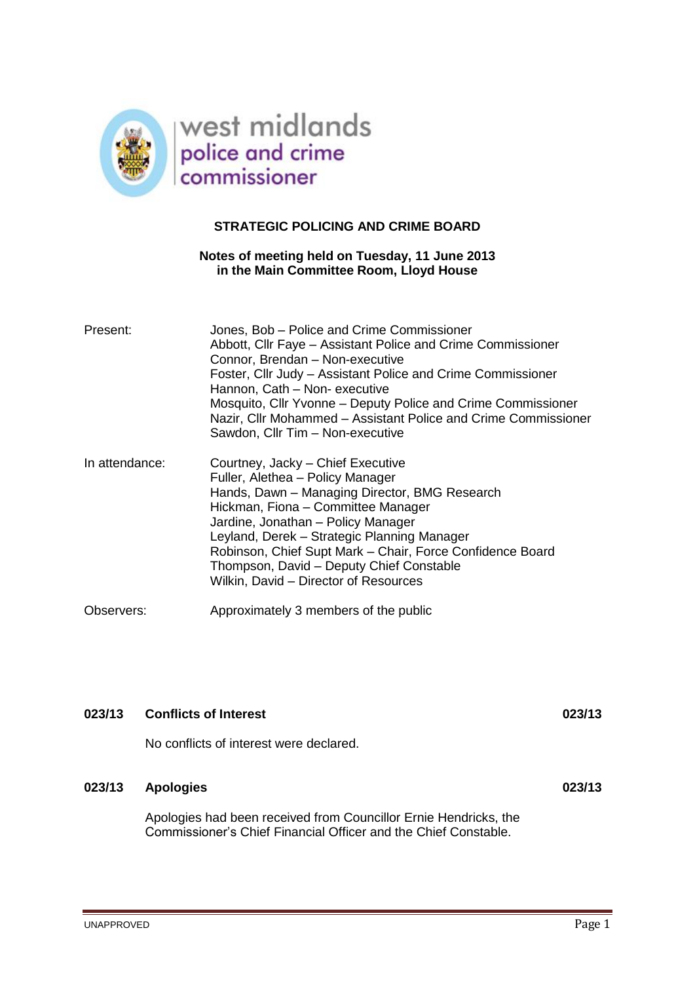

# **STRATEGIC POLICING AND CRIME BOARD**

# **Notes of meeting held on Tuesday, 11 June 2013 in the Main Committee Room, Lloyd House**

| Present:       | Jones, Bob – Police and Crime Commissioner<br>Abbott, Cllr Faye - Assistant Police and Crime Commissioner<br>Connor, Brendan - Non-executive<br>Foster, Cllr Judy – Assistant Police and Crime Commissioner<br>Hannon, Cath - Non- executive<br>Mosquito, Cllr Yvonne – Deputy Police and Crime Commissioner<br>Nazir, Cllr Mohammed - Assistant Police and Crime Commissioner<br>Sawdon, Cllr Tim - Non-executive |
|----------------|--------------------------------------------------------------------------------------------------------------------------------------------------------------------------------------------------------------------------------------------------------------------------------------------------------------------------------------------------------------------------------------------------------------------|
| In attendance: | Courtney, Jacky - Chief Executive<br>Fuller, Alethea - Policy Manager<br>Hands, Dawn - Managing Director, BMG Research<br>Hickman, Fiona - Committee Manager<br>Jardine, Jonathan - Policy Manager<br>Leyland, Derek - Strategic Planning Manager<br>Robinson, Chief Supt Mark - Chair, Force Confidence Board<br>Thompson, David - Deputy Chief Constable<br>Wilkin, David - Director of Resources                |
| Observers:     | Approximately 3 members of the public                                                                                                                                                                                                                                                                                                                                                                              |

| 023/13 | <b>Conflicts of Interest</b>                                                                                                        | 023/13 |
|--------|-------------------------------------------------------------------------------------------------------------------------------------|--------|
|        | No conflicts of interest were declared.                                                                                             |        |
| 023/13 | <b>Apologies</b>                                                                                                                    | 023/13 |
|        | Apologies had been received from Councillor Ernie Hendricks, the<br>Commissioner's Chief Financial Officer and the Chief Constable. |        |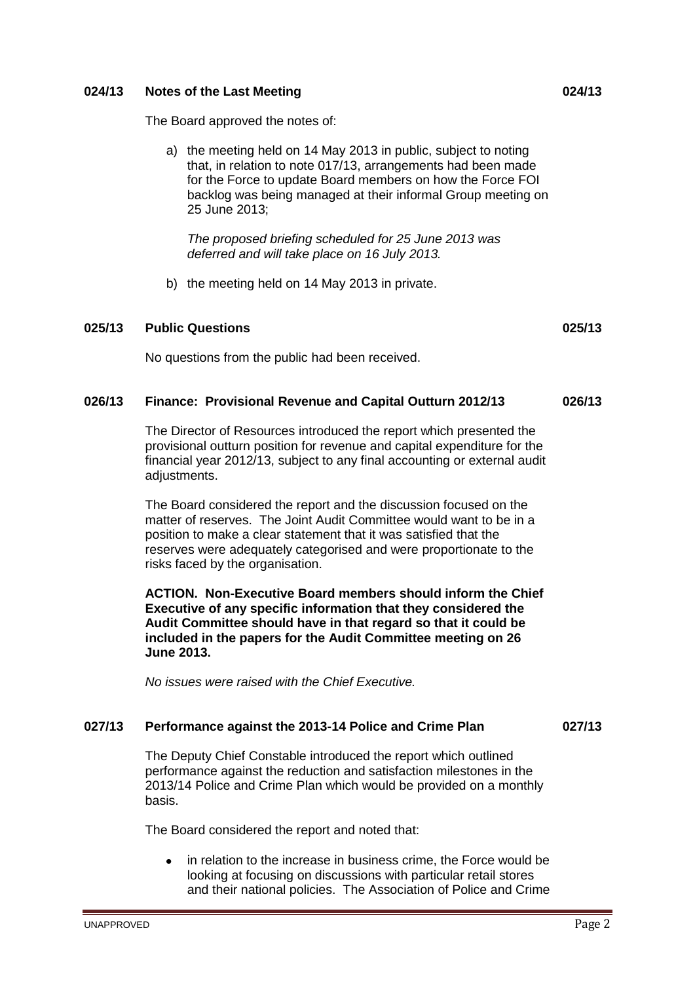# **024/13 Notes of the Last Meeting 024/13**

The Board approved the notes of:

a) the meeting held on 14 May 2013 in public, subject to noting that, in relation to note 017/13, arrangements had been made for the Force to update Board members on how the Force FOI backlog was being managed at their informal Group meeting on 25 June 2013;

*The proposed briefing scheduled for 25 June 2013 was deferred and will take place on 16 July 2013.*

b) the meeting held on 14 May 2013 in private.

### **025/13 Public Questions 025/13**

No questions from the public had been received.

## **026/13 Finance: Provisional Revenue and Capital Outturn 2012/13 026/13**

The Director of Resources introduced the report which presented the provisional outturn position for revenue and capital expenditure for the financial year 2012/13, subject to any final accounting or external audit adjustments.

The Board considered the report and the discussion focused on the matter of reserves. The Joint Audit Committee would want to be in a position to make a clear statement that it was satisfied that the reserves were adequately categorised and were proportionate to the risks faced by the organisation.

**ACTION. Non-Executive Board members should inform the Chief Executive of any specific information that they considered the Audit Committee should have in that regard so that it could be included in the papers for the Audit Committee meeting on 26 June 2013.** 

*No issues were raised with the Chief Executive.*

# **027/13 Performance against the 2013-14 Police and Crime Plan 027/13**

The Deputy Chief Constable introduced the report which outlined performance against the reduction and satisfaction milestones in the 2013/14 Police and Crime Plan which would be provided on a monthly basis.

The Board considered the report and noted that:

in relation to the increase in business crime, the Force would be looking at focusing on discussions with particular retail stores and their national policies. The Association of Police and Crime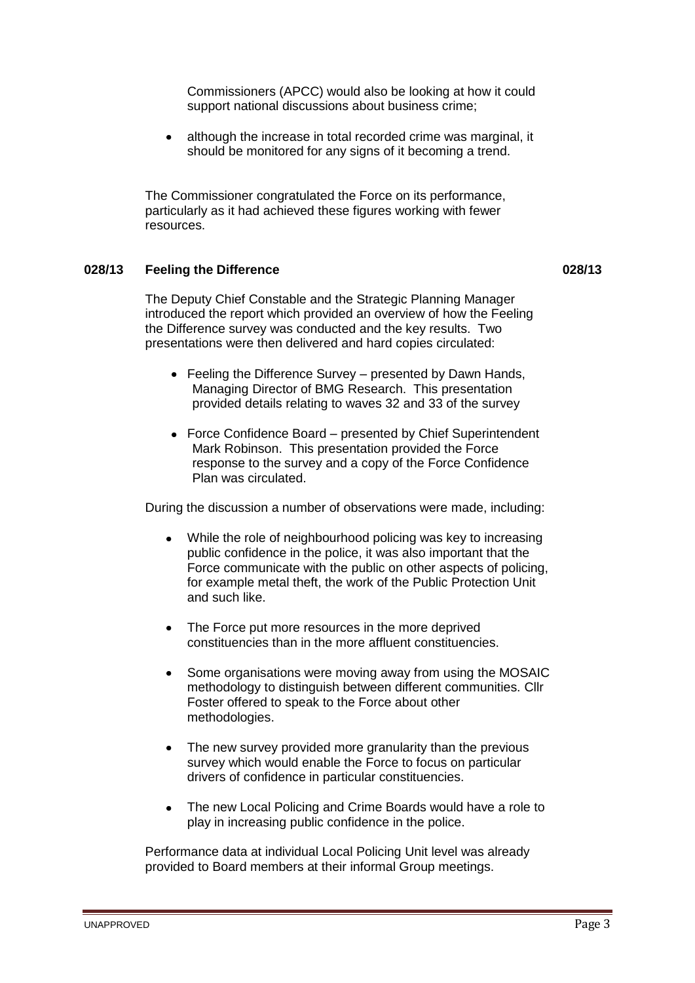Commissioners (APCC) would also be looking at how it could support national discussions about business crime;

although the increase in total recorded crime was marginal, it  $\bullet$ should be monitored for any signs of it becoming a trend.

The Commissioner congratulated the Force on its performance, particularly as it had achieved these figures working with fewer resources.

# **028/13 Feeling the Difference 028/13**

The Deputy Chief Constable and the Strategic Planning Manager introduced the report which provided an overview of how the Feeling the Difference survey was conducted and the key results. Two presentations were then delivered and hard copies circulated:

- Feeling the Difference Survey presented by Dawn Hands, Managing Director of BMG Research. This presentation provided details relating to waves 32 and 33 of the survey
- Force Confidence Board presented by Chief Superintendent Mark Robinson. This presentation provided the Force response to the survey and a copy of the Force Confidence Plan was circulated.

During the discussion a number of observations were made, including:

- While the role of neighbourhood policing was key to increasing public confidence in the police, it was also important that the Force communicate with the public on other aspects of policing, for example metal theft, the work of the Public Protection Unit and such like.
- The Force put more resources in the more deprived constituencies than in the more affluent constituencies.
- Some organisations were moving away from using the MOSAIC methodology to distinguish between different communities. Cllr Foster offered to speak to the Force about other methodologies.
- The new survey provided more granularity than the previous survey which would enable the Force to focus on particular drivers of confidence in particular constituencies.
- $\bullet$ The new Local Policing and Crime Boards would have a role to play in increasing public confidence in the police.

Performance data at individual Local Policing Unit level was already provided to Board members at their informal Group meetings.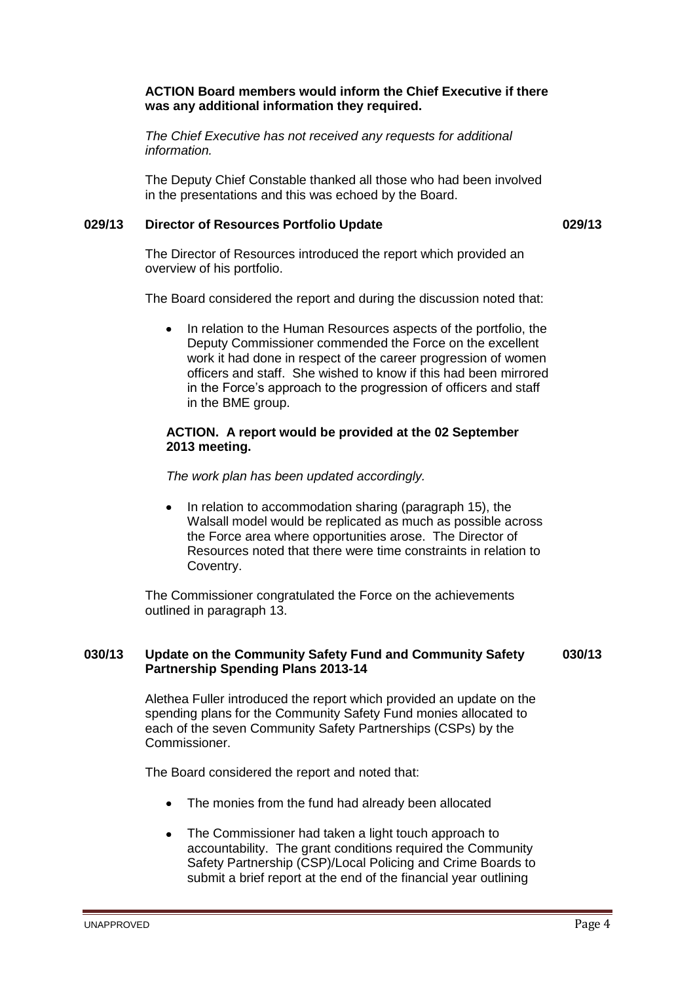# **ACTION Board members would inform the Chief Executive if there was any additional information they required.**

*The Chief Executive has not received any requests for additional information.*

The Deputy Chief Constable thanked all those who had been involved in the presentations and this was echoed by the Board.

# **029/13 Director of Resources Portfolio Update 029/13**

The Director of Resources introduced the report which provided an overview of his portfolio.

The Board considered the report and during the discussion noted that:

 $\bullet$ In relation to the Human Resources aspects of the portfolio, the Deputy Commissioner commended the Force on the excellent work it had done in respect of the career progression of women officers and staff. She wished to know if this had been mirrored in the Force's approach to the progression of officers and staff in the BME group.

### **ACTION. A report would be provided at the 02 September 2013 meeting.**

*The work plan has been updated accordingly.*

In relation to accommodation sharing (paragraph 15), the Walsall model would be replicated as much as possible across the Force area where opportunities arose. The Director of Resources noted that there were time constraints in relation to Coventry.

The Commissioner congratulated the Force on the achievements outlined in paragraph 13.

### **030/13 Update on the Community Safety Fund and Community Safety Partnership Spending Plans 2013-14 030/13**

Alethea Fuller introduced the report which provided an update on the spending plans for the Community Safety Fund monies allocated to each of the seven Community Safety Partnerships (CSPs) by the Commissioner.

The Board considered the report and noted that:

- The monies from the fund had already been allocated
- The Commissioner had taken a light touch approach to accountability. The grant conditions required the Community Safety Partnership (CSP)/Local Policing and Crime Boards to submit a brief report at the end of the financial year outlining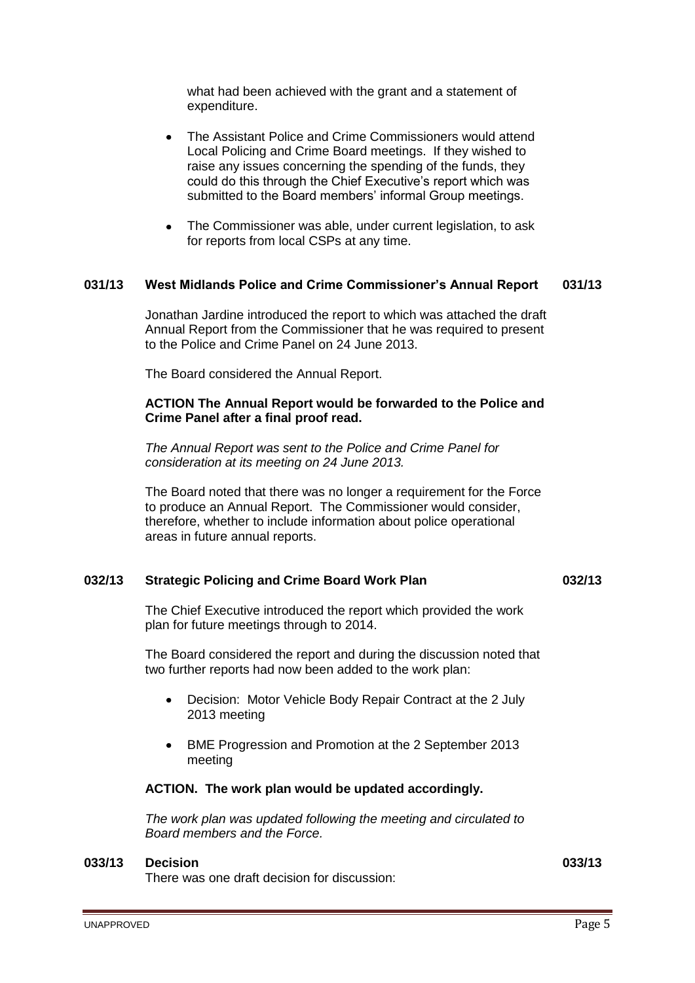what had been achieved with the grant and a statement of expenditure.

- The Assistant Police and Crime Commissioners would attend Local Policing and Crime Board meetings. If they wished to raise any issues concerning the spending of the funds, they could do this through the Chief Executive's report which was submitted to the Board members' informal Group meetings.
- The Commissioner was able, under current legislation, to ask for reports from local CSPs at any time.

### **031/13 West Midlands Police and Crime Commissioner's Annual Report 031/13**

Jonathan Jardine introduced the report to which was attached the draft Annual Report from the Commissioner that he was required to present to the Police and Crime Panel on 24 June 2013.

The Board considered the Annual Report.

### **ACTION The Annual Report would be forwarded to the Police and Crime Panel after a final proof read.**

*The Annual Report was sent to the Police and Crime Panel for consideration at its meeting on 24 June 2013.*

The Board noted that there was no longer a requirement for the Force to produce an Annual Report. The Commissioner would consider, therefore, whether to include information about police operational areas in future annual reports.

### **032/13 Strategic Policing and Crime Board Work Plan 032/13**

The Chief Executive introduced the report which provided the work plan for future meetings through to 2014.

The Board considered the report and during the discussion noted that two further reports had now been added to the work plan:

- Decision: Motor Vehicle Body Repair Contract at the 2 July 2013 meeting
- BME Progression and Promotion at the 2 September 2013 meeting

### **ACTION. The work plan would be updated accordingly.**

*The work plan was updated following the meeting and circulated to Board members and the Force.*

### **033/13 Decision 033/13**

There was one draft decision for discussion: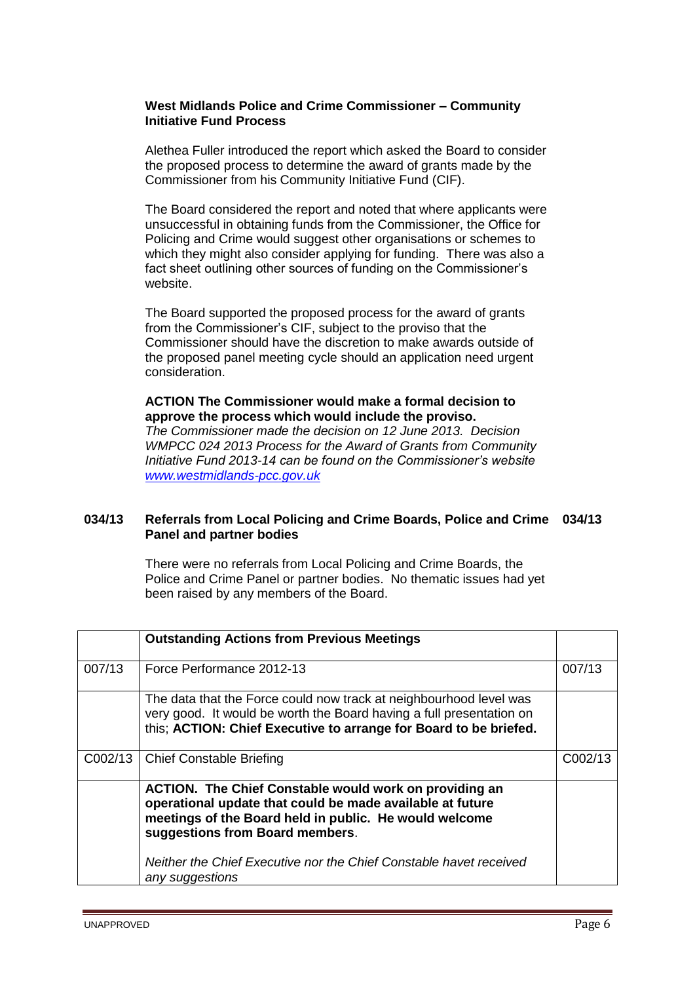# **West Midlands Police and Crime Commissioner – Community Initiative Fund Process**

Alethea Fuller introduced the report which asked the Board to consider the proposed process to determine the award of grants made by the Commissioner from his Community Initiative Fund (CIF).

The Board considered the report and noted that where applicants were unsuccessful in obtaining funds from the Commissioner, the Office for Policing and Crime would suggest other organisations or schemes to which they might also consider applying for funding. There was also a fact sheet outlining other sources of funding on the Commissioner's website.

The Board supported the proposed process for the award of grants from the Commissioner's CIF, subject to the proviso that the Commissioner should have the discretion to make awards outside of the proposed panel meeting cycle should an application need urgent consideration.

# **ACTION The Commissioner would make a formal decision to approve the process which would include the proviso.**

*The Commissioner made the decision on 12 June 2013. Decision WMPCC 024 2013 Process for the Award of Grants from Community Initiative Fund 2013-14 can be found on the Commissioner's website [www.westmidlands-pcc.gov.uk](http://www.westmidlands-pcc.gov.uk/)*

# **034/13 Referrals from Local Policing and Crime Boards, Police and Crime 034/13 Panel and partner bodies**

There were no referrals from Local Policing and Crime Boards, the Police and Crime Panel or partner bodies. No thematic issues had yet been raised by any members of the Board.

|         | <b>Outstanding Actions from Previous Meetings</b>                                                                                                                                                                                                                                                                |         |
|---------|------------------------------------------------------------------------------------------------------------------------------------------------------------------------------------------------------------------------------------------------------------------------------------------------------------------|---------|
| 007/13  | Force Performance 2012-13                                                                                                                                                                                                                                                                                        | 007/13  |
|         | The data that the Force could now track at neighbourhood level was<br>very good. It would be worth the Board having a full presentation on<br>this; ACTION: Chief Executive to arrange for Board to be briefed.                                                                                                  |         |
| C002/13 | <b>Chief Constable Briefing</b>                                                                                                                                                                                                                                                                                  | C002/13 |
|         | <b>ACTION.</b> The Chief Constable would work on providing an<br>operational update that could be made available at future<br>meetings of the Board held in public. He would welcome<br>suggestions from Board members.<br>Neither the Chief Executive nor the Chief Constable havet received<br>any suggestions |         |